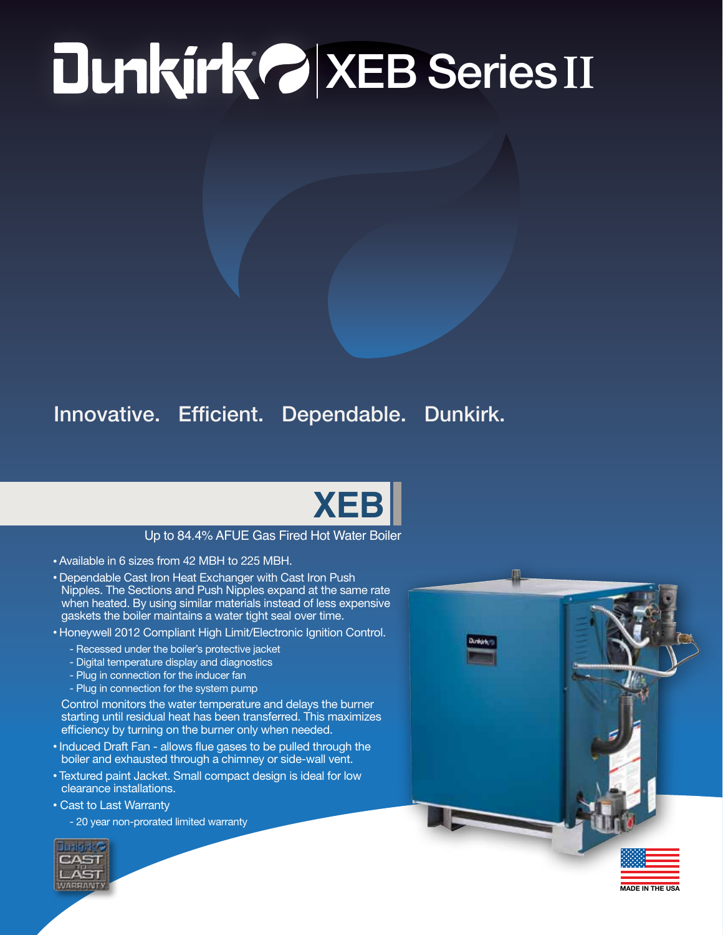## ® XEB Series **II**

## Innovative. Efficient. Dependable. Dunkirk.



## Up to 84.4% AFUE Gas Fired Hot Water Boiler

- Available in 6 sizes from 42 MBH to 225 MBH.
- Dependable Cast Iron Heat Exchanger with Cast Iron Push Nipples. The Sections and Push Nipples expand at the same rate when heated. By using similar materials instead of less expensive gaskets the boiler maintains a water tight seal over time.
- Honeywell 2012 Compliant High Limit/Electronic Ignition Control.
	- Recessed under the boiler's protective jacket
	- Digital temperature display and diagnostics
	- Plug in connection for the inducer fan
	- Plug in connection for the system pump

Control monitors the water temperature and delays the burner starting until residual heat has been transferred. This maximizes efficiency by turning on the burner only when needed.

- Induced Draft Fan allows flue gases to be pulled through the boiler and exhausted through a chimney or side-wall vent.
- Textured paint Jacket. Small compact design is ideal for low clearance installations.
- Cast to Last Warranty

- 20 year non-prorated limited warranty